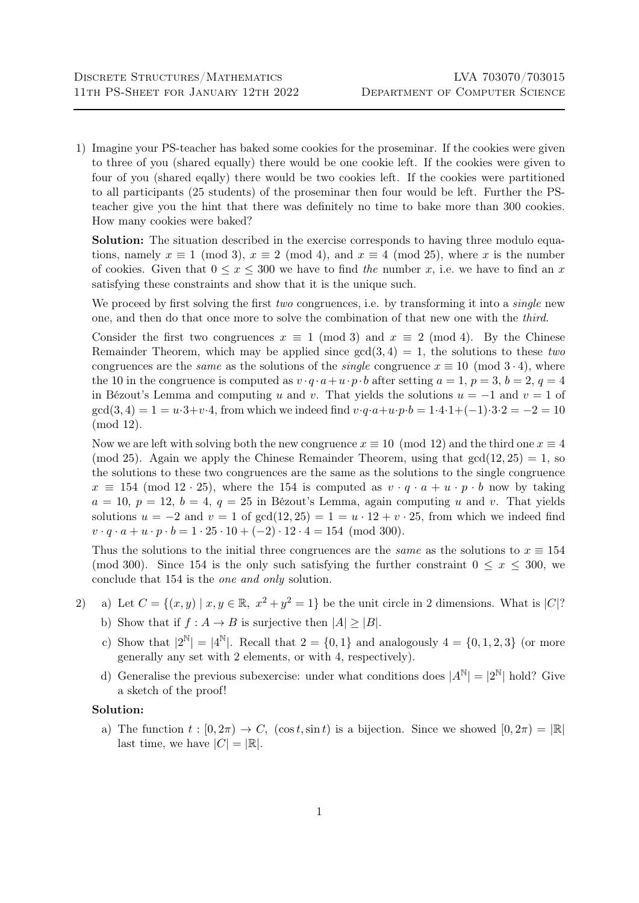1) Imagine your PS-teacher has baked some cookies for the proseminar. If the cookies were given to three of you (shared equally) there would be one cookie left. If the cookies were given to four of you (shared eqally) there would be two cookies left. If the cookies were partitioned to all participants (25 students) of the proseminar then four would be left. Further the PSteacher give you the hint that there was definitely no time to bake more than 300 cookies. How many cookies were baked?

Solution: The situation described in the exercise corresponds to having three modulo equations, namely  $x \equiv 1 \pmod{3}$ ,  $x \equiv 2 \pmod{4}$ , and  $x \equiv 4 \pmod{25}$ , where x is the number of cookies. Given that  $0 \le x \le 300$  we have to find the number x, i.e. we have to find an x satisfying these constraints and show that it is the unique such.

We proceed by first solving the first *two* congruences, i.e. by transforming it into a *single* new one, and then do that once more to solve the combination of that new one with the third.

Consider the first two congruences  $x \equiv 1 \pmod{3}$  and  $x \equiv 2 \pmod{4}$ . By the Chinese Remainder Theorem, which may be applied since  $gcd(3, 4) = 1$ , the solutions to these two congruences are the *same* as the solutions of the *single* congruence  $x \equiv 10 \pmod{3 \cdot 4}$ , where the 10 in the congruence is computed as  $v \cdot q \cdot a + u \cdot p \cdot b$  after setting  $a = 1, p = 3, b = 2, q = 4$ in Bézout's Lemma and computing u and v. That yields the solutions  $u = -1$  and  $v = 1$  of  $gcd(3, 4) = 1 = u \cdot 3 + v \cdot 4$ , from which we indeed find  $v \cdot q \cdot a + u \cdot p \cdot b = 1 \cdot 4 \cdot 1 + (-1) \cdot 3 \cdot 2 = -2 = 10$ (mod 12).

Now we are left with solving both the new congruence  $x \equiv 10 \pmod{12}$  and the third one  $x \equiv 4$ (mod 25). Again we apply the Chinese Remainder Theorem, using that  $gcd(12, 25) = 1$ , so the solutions to these two congruences are the same as the solutions to the single congruence  $x \equiv 154 \pmod{12 \cdot 25}$ , where the 154 is computed as  $v \cdot q \cdot a + u \cdot p \cdot b$  now by taking  $a = 10, p = 12, b = 4, q = 25$  in Bézout's Lemma, again computing u and v. That yields solutions  $u = -2$  and  $v = 1$  of  $gcd(12, 25) = 1 = u \cdot 12 + v \cdot 25$ , from which we indeed find  $v \cdot q \cdot a + u \cdot p \cdot b = 1 \cdot 25 \cdot 10 + (-2) \cdot 12 \cdot 4 = 154 \pmod{300}$ .

Thus the solutions to the initial three congruences are the *same* as the solutions to  $x \equiv 154$ (mod 300). Since 154 is the only such satisfying the further constraint  $0 \leq x \leq 300$ , we conclude that 154 is the one and only solution.

- 2) a) Let  $C = \{(x, y) | x, y \in \mathbb{R}, x^2 + y^2 = 1\}$  be the unit circle in 2 dimensions. What is  $|C|^2$ 
	- b) Show that if  $f : A \to B$  is surjective then  $|A| > |B|$ .
	- c) Show that  $|2^{\mathbb{N}}| = |4^{\mathbb{N}}|$ . Recall that  $2 = \{0, 1\}$  and analogously  $4 = \{0, 1, 2, 3\}$  (or more generally any set with 2 elements, or with 4, respectively).
	- d) Generalise the previous subexercise: under what conditions does  $|A^N| = |2^N|$  hold? Give a sketch of the proof!

## Solution:

a) The function  $t : [0, 2\pi) \to C$ ,  $(\cos t, \sin t)$  is a bijection. Since we showed  $[0, 2\pi) = | \mathbb{R} |$ last time, we have  $|C| = |\mathbb{R}|$ .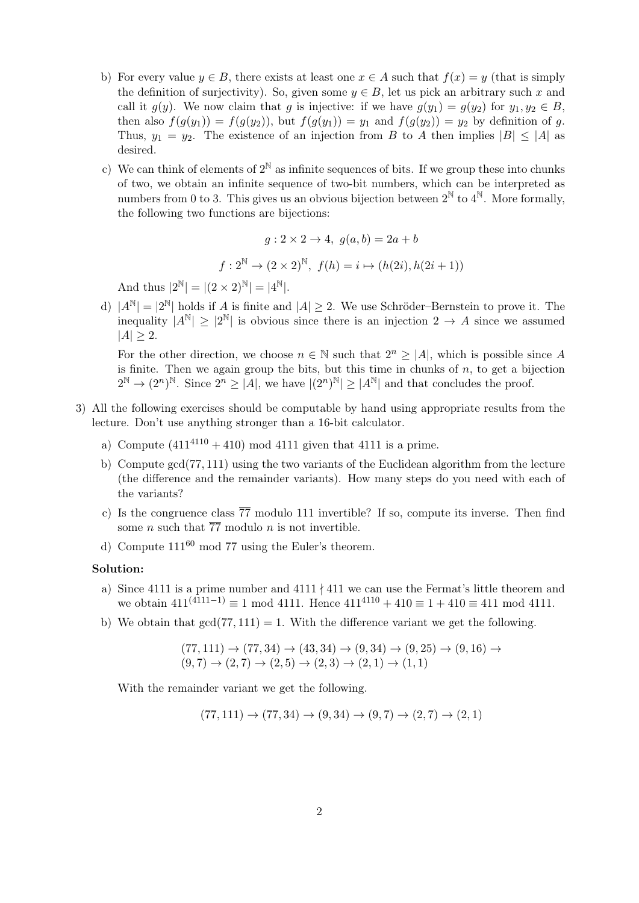- b) For every value  $y \in B$ , there exists at least one  $x \in A$  such that  $f(x) = y$  (that is simply the definition of surjectivity). So, given some  $y \in B$ , let us pick an arbitrary such x and call it  $g(y)$ . We now claim that g is injective: if we have  $g(y_1) = g(y_2)$  for  $y_1, y_2 \in B$ , then also  $f(g(y_1)) = f(g(y_2))$ , but  $f(g(y_1)) = y_1$  and  $f(g(y_2)) = y_2$  by definition of g. Thus,  $y_1 = y_2$ . The existence of an injection from B to A then implies  $|B| \le |A|$  as desired.
- c) We can think of elements of  $2^{\mathbb{N}}$  as infinite sequences of bits. If we group these into chunks of two, we obtain an infinite sequence of two-bit numbers, which can be interpreted as numbers from 0 to 3. This gives us an obvious bijection between  $2^{\mathbb{N}}$  to  $4^{\mathbb{N}}$ . More formally, the following two functions are bijections:

$$
g: 2 \times 2 \to 4, \ g(a, b) = 2a + b
$$

$$
f: 2^{\mathbb{N}} \to (2 \times 2)^{\mathbb{N}}, f(h) = i \mapsto (h(2i), h(2i+1))
$$

And thus  $|2^{\mathbb{N}}| = |(2 \times 2)^{\mathbb{N}}| = |4^{\mathbb{N}}|.$ 

d)  $|A^{\mathbb{N}}| = |2^{\mathbb{N}}|$  holds if A is finite and  $|A| \ge 2$ . We use Schröder–Bernstein to prove it. The inequality  $|A^{\mathbb{N}}| \geq |2^{\mathbb{N}}|$  is obvious since there is an injection  $2 \to A$  since we assumed  $|A| \geq 2$ .

For the other direction, we choose  $n \in \mathbb{N}$  such that  $2^n \geq |A|$ , which is possible since A is finite. Then we again group the bits, but this time in chunks of  $n$ , to get a bijection  $2^{\mathbb{N}} \to (2^n)^{\mathbb{N}}$ . Since  $2^n \geq |A|$ , we have  $|(2^n)^{\mathbb{N}}| \geq |A^{\mathbb{N}}|$  and that concludes the proof.

- 3) All the following exercises should be computable by hand using appropriate results from the lecture. Don't use anything stronger than a 16-bit calculator.
	- a) Compute  $(411^{4110} + 410) \text{ mod } 4111$  given that 4111 is a prime.
	- b) Compute gcd(77, 111) using the two variants of the Euclidean algorithm from the lecture (the difference and the remainder variants). How many steps do you need with each of the variants?
	- c) Is the congruence class  $\overline{77}$  modulo 111 invertible? If so, compute its inverse. Then find some *n* such that  $\overline{77}$  modulo *n* is not invertible.
	- d) Compute  $111^{60}$  mod 77 using the Euler's theorem.

## Solution:

- a) Since 4111 is a prime number and  $4111 \nmid 411$  we can use the Fermat's little theorem and we obtain  $411^{(4111-1)} \equiv 1 \mod 4111$ . Hence  $411^{4110} + 410 \equiv 1 + 410 \equiv 411 \mod 4111$ .
- b) We obtain that  $gcd(77, 111) = 1$ . With the difference variant we get the following.

$$
(77, 111) \rightarrow (77, 34) \rightarrow (43, 34) \rightarrow (9, 34) \rightarrow (9, 25) \rightarrow (9, 16) \rightarrow (9, 7) \rightarrow (2, 7) \rightarrow (2, 5) \rightarrow (2, 3) \rightarrow (2, 1) \rightarrow (1, 1)
$$

With the remainder variant we get the following.

$$
(77,111) \to (77,34) \to (9,34) \to (9,7) \to (2,7) \to (2,1)
$$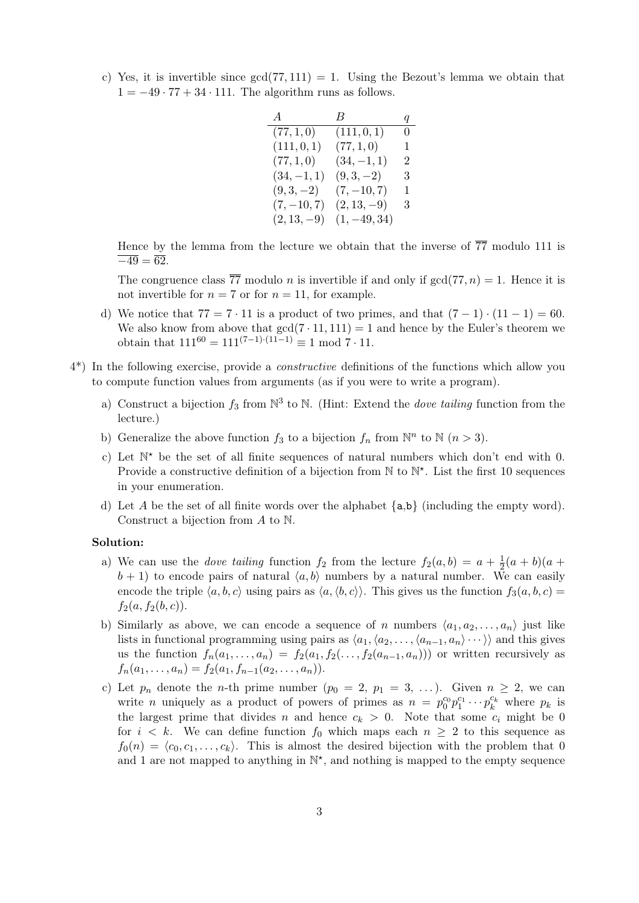c) Yes, it is invertible since  $gcd(77, 111) = 1$ . Using the Bezout's lemma we obtain that  $1 = -49 \cdot 77 + 34 \cdot 111$ . The algorithm runs as follows.

| $\overline{A}$ | $B_{-}$        | q |
|----------------|----------------|---|
| (77, 1, 0)     | (111, 0, 1)    | 0 |
| (111, 0, 1)    | (77, 1, 0)     | 1 |
| (77, 1, 0)     | $(34, -1, 1)$  | 2 |
| $(34, -1, 1)$  | $(9,3,-2)$     | 3 |
| $(9,3,-2)$     | $(7, -10, 7)$  | 1 |
| $(7, -10, 7)$  | $(2, 13, -9)$  | 3 |
| $(2, 13, -9)$  | $(1, -49, 34)$ |   |

Hence by the lemma from the lecture we obtain that the inverse of  $\overline{77}$  modulo 111 is  $\overline{-49} = \overline{62}.$ 

The congruence class  $\overline{77}$  modulo *n* is invertible if and only if  $gcd(77, n) = 1$ . Hence it is not invertible for  $n = 7$  or for  $n = 11$ , for example.

- d) We notice that  $77 = 7 \cdot 11$  is a product of two primes, and that  $(7 1) \cdot (11 1) = 60$ . We also know from above that  $gcd(7 \cdot 11, 111) = 1$  and hence by the Euler's theorem we obtain that  $111^{60} = 111^{(7-1)\cdot(11-1)} \equiv 1 \mod 7 \cdot 11$ .
- 4\*) In the following exercise, provide a constructive definitions of the functions which allow you to compute function values from arguments (as if you were to write a program).
	- a) Construct a bijection  $f_3$  from  $\mathbb{N}^3$  to  $\mathbb{N}$ . (Hint: Extend the *dove tailing* function from the lecture.)
	- b) Generalize the above function  $f_3$  to a bijection  $f_n$  from  $\mathbb{N}^n$  to  $\mathbb{N}$   $(n > 3)$ .
	- c) Let  $\mathbb{N}^*$  be the set of all finite sequences of natural numbers which don't end with 0. Provide a constructive definition of a bijection from  $\mathbb N$  to  $\mathbb N^*$ . List the first 10 sequences in your enumeration.
	- d) Let A be the set of all finite words over the alphabet  $\{a,b\}$  (including the empty word). Construct a bijection from A to N.

## Solution:

- a) We can use the *dove tailing* function  $f_2$  from the lecture  $f_2(a, b) = a + \frac{1}{2}$  $rac{1}{2}(a + b)(a +$  $b + 1$ ) to encode pairs of natural  $\langle a, b \rangle$  numbers by a natural number. We can easily encode the triple  $\langle a, b, c \rangle$  using pairs as  $\langle a, \langle b, c \rangle$ . This gives us the function  $f_3(a, b, c)$  =  $f_2(a, f_2(b, c)).$
- b) Similarly as above, we can encode a sequence of n numbers  $\langle a_1, a_2, \ldots, a_n \rangle$  just like lists in functional programming using pairs as  $\langle a_1,\langle a_2,\ldots,\langle a_{n-1}, a_n\rangle\cdots\rangle$  and this gives us the function  $f_n(a_1, \ldots, a_n) = f_2(a_1, f_2(\ldots, f_2(a_{n-1}, a_n)))$  or written recursively as  $f_n(a_1, \ldots, a_n) = f_2(a_1, f_{n-1}(a_2, \ldots, a_n)).$
- c) Let  $p_n$  denote the *n*-th prime number  $(p_0 = 2, p_1 = 3, \ldots)$ . Given  $n \geq 2$ , we can write *n* uniquely as a product of powers of primes as  $n = p_0^{c_0} p_1^{c_1} \cdots p_k^{c_k}$  where  $p_k$  is the largest prime that divides n and hence  $c_k > 0$ . Note that some  $c_i$  might be 0 for  $i < k$ . We can define function  $f_0$  which maps each  $n \geq 2$  to this sequence as  $f_0(n) = \langle c_0, c_1, \ldots, c_k \rangle$ . This is almost the desired bijection with the problem that 0 and 1 are not mapped to anything in  $\mathbb{N}^*$ , and nothing is mapped to the empty sequence